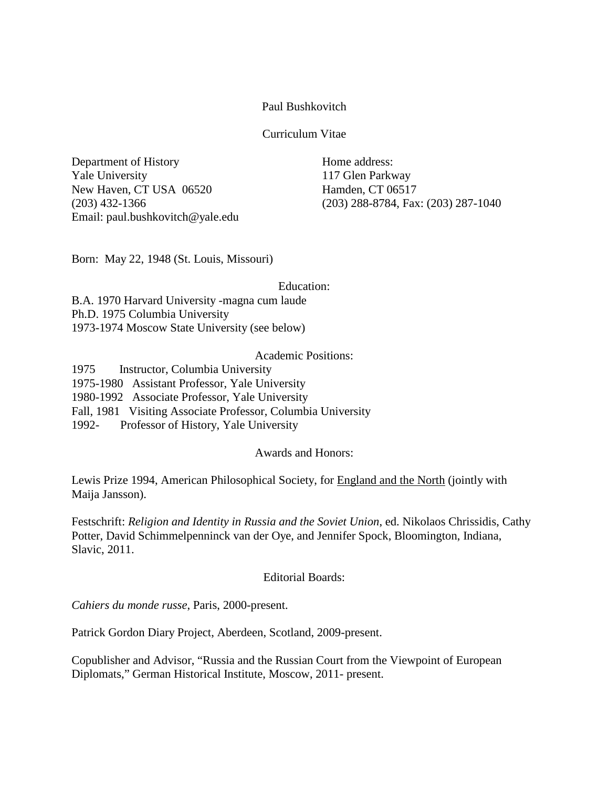Paul Bushkovitch

Curriculum Vitae

Department of History **Home address:** Yale University 117 Glen Parkway New Haven, CT USA 06520 Hamden, CT 06517 Email: paul.bushkovitch@yale.edu

(203) 432-1366 (203) 288-8784, Fax: (203) 287-1040

Born: May 22, 1948 (St. Louis, Missouri)

Education:

B.A. 1970 Harvard University -magna cum laude Ph.D. 1975 Columbia University 1973-1974 Moscow State University (see below)

# Academic Positions:

1975 Instructor, Columbia University 1975-1980 Assistant Professor, Yale University 1980-1992 Associate Professor, Yale University Fall, 1981 Visiting Associate Professor, Columbia University 1992- Professor of History, Yale University

Awards and Honors:

Lewis Prize 1994, American Philosophical Society, for England and the North (jointly with Maija Jansson).

Festschrift: *Religion and Identity in Russia and the Soviet Union*, ed. Nikolaos Chrissidis, Cathy Potter, David Schimmelpenninck van der Oye, and Jennifer Spock, Bloomington, Indiana, Slavic, 2011.

## Editorial Boards:

*Cahiers du monde russe*, Paris, 2000-present.

Patrick Gordon Diary Project, Aberdeen, Scotland, 2009-present.

Copublisher and Advisor, "Russia and the Russian Court from the Viewpoint of European Diplomats," German Historical Institute, Moscow, 2011- present.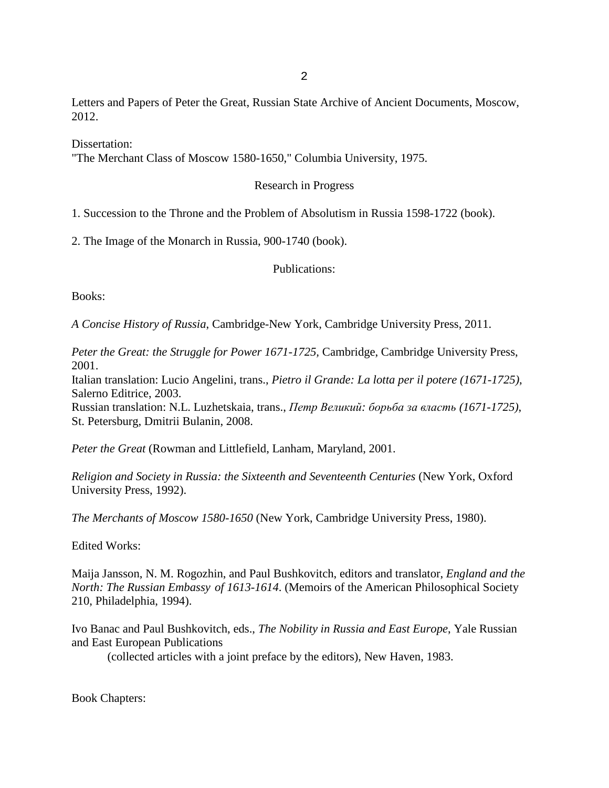Letters and Papers of Peter the Great, Russian State Archive of Ancient Documents, Moscow, 2012.

Dissertation:

"The Merchant Class of Moscow 1580-1650," Columbia University, 1975.

### Research in Progress

1. Succession to the Throne and the Problem of Absolutism in Russia 1598-1722 (book).

2. The Image of the Monarch in Russia, 900-1740 (book).

Publications:

Books:

*A Concise History of Russia*, Cambridge-New York, Cambridge University Press, 2011.

*Peter the Great: the Struggle for Power 1671-1725,* Cambridge, Cambridge University Press, 2001.

Italian translation: Lucio Angelini, trans., *Pietro il Grande: La lotta per il potere (1671-1725)*, Salerno Editrice, 2003.

Russian translation: N.L. Luzhetskaia, trans., *Петр Великий: борьба за власть (1671-1725)*, St. Petersburg, Dmitrii Bulanin, 2008.

*Peter the Great* (Rowman and Littlefield, Lanham, Maryland, 2001.

*Religion and Society in Russia: the Sixteenth and Seventeenth Centuries* (New York, Oxford University Press, 1992).

*The Merchants of Moscow 1580-1650* (New York, Cambridge University Press, 1980).

Edited Works:

Maija Jansson, N. M. Rogozhin, and Paul Bushkovitch, editors and translator, *England and the North: The Russian Embassy of 1613-1614*. (Memoirs of the American Philosophical Society 210, Philadelphia, 1994).

Ivo Banac and Paul Bushkovitch, eds., *The Nobility in Russia and East Europe*, Yale Russian and East European Publications

(collected articles with a joint preface by the editors), New Haven, 1983.

Book Chapters: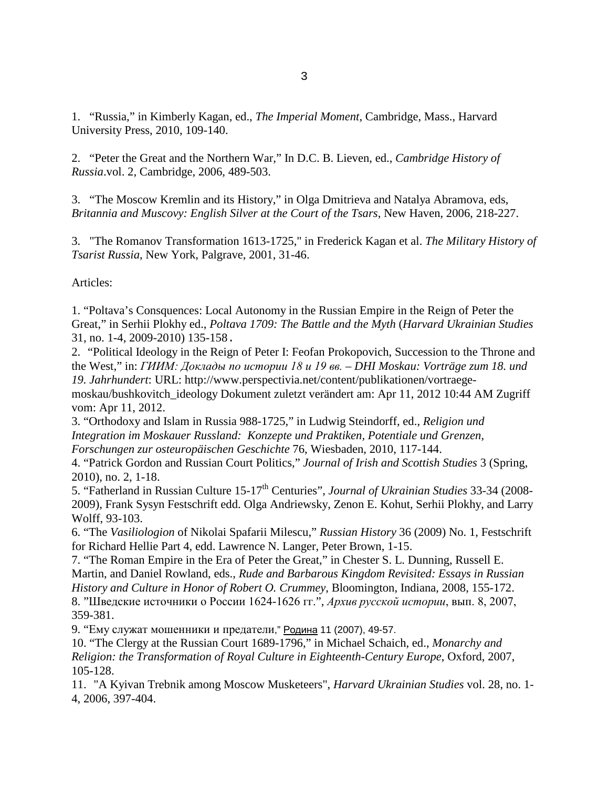1. "Russia," in Kimberly Kagan, ed., *The Imperial Moment*, Cambridge, Mass., Harvard University Press, 2010, 109-140.

2. "Peter the Great and the Northern War," In D.C. B. Lieven, ed., *Cambridge History of Russia*.vol. 2, Cambridge, 2006, 489-503.

3. "The Moscow Kremlin and its History," in Olga Dmitrieva and Natalya Abramova, eds, *Britannia and Muscovy: English Silver at the Court of the Tsars*, New Haven, 2006, 218-227.

3. "The Romanov Transformation 1613-1725," in Frederick Kagan et al. *The Military History of Tsarist Russia*, New York, Palgrave, 2001, 31-46.

Articles:

1. "Poltava's Consquences: Local Autonomy in the Russian Empire in the Reign of Peter the Great," in Serhii Plokhy ed., *Poltava 1709: The Battle and the Myth* (*Harvard Ukrainian Studies* 31, no. 1-4, 2009-2010) 135-158.

2. "Political Ideology in the Reign of Peter I: Feofan Prokopovich, Succession to the Throne and the West," in: ГИИМ: Доклады по истории 18 и 19 вв. - DHI Moskau: Vorträge zum 18. und *19. Jahrhundert*: URL: http://www.perspectivia.net/content/publikationen/vortraege-

moskau/bushkovitch\_ideology Dokument zuletzt verändert am: Apr 11, 2012 10:44 AM Zugriff vom: Apr 11, 2012.

3. "Orthodoxy and Islam in Russia 988-1725," in Ludwig Steindorff, ed., *Religion und Integration im Moskauer Russland: Konzepte und Praktiken, Potentiale und Grenzen, Forschungen zur osteuropäischen Geschichte* 76, Wiesbaden, 2010, 117-144.

4. "Patrick Gordon and Russian Court Politics," *Journal of Irish and Scottish Studies* 3 (Spring, 2010), no. 2, 1-18.

5. "Fatherland in Russian Culture 15-17<sup>th</sup> Centuries", *Journal of Ukrainian Studies* 33-34 (2008-2009), Frank Sysyn Festschrift edd. Olga Andriewsky, Zenon E. Kohut, Serhii Plokhy, and Larry Wolff, 93-103.

6. "The *Vasiliologion* of Nikolai Spafarii Milescu," *Russian History* 36 (2009) No. 1, Festschrift for Richard Hellie Part 4, edd. Lawrence N. Langer, Peter Brown, 1-15.

7. "The Roman Empire in the Era of Peter the Great," in Chester S. L. Dunning, Russell E. Martin, and Daniel Rowland, eds., *Rude and Barbarous Kingdom Revisited: Essays in Russian History and Culture in Honor of Robert O. Crummey*, Bloomington, Indiana, 2008, 155-172. 8. "Шведские источники о России 1624-1626 гг.", *Архив русской истории*, вып. 8, 2007, 359-381.

9. "Ему служат мошенники и предатели," Родина 11 (2007), 49-57.

10. "The Clergy at the Russian Court 1689-1796," in Michael Schaich, ed., *Monarchy and Religion: the Transformation of Royal Culture in Eighteenth-Century Europe*, Oxford, 2007, 105-128.

11. "A Kyivan Trebnik among Moscow Musketeers", *Harvard Ukrainian Studies* vol. 28, no. 1- 4, 2006, 397-404.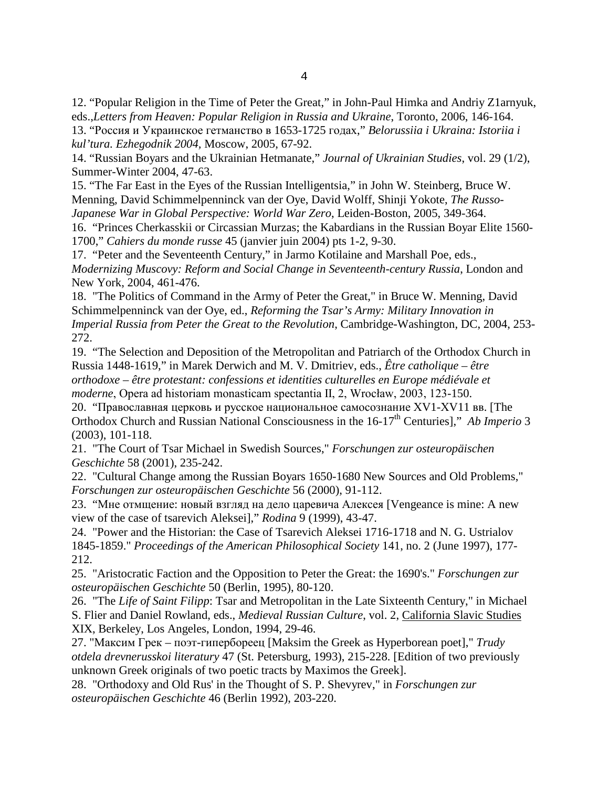12. "Popular Religion in the Time of Peter the Great," in John-Paul Himka and Andriy Z1arnyuk, eds.,*Letters from Heaven: Popular Religion in Russia and Ukraine*, Toronto, 2006, 146-164.

13. "Россия и Украинское гетманство в 1653-1725 годах," *Belorussiia i Ukraina: Istoriia i kul'tura. Ezhegodnik 2004,* Moscow, 2005, 67-92.

14. "Russian Boyars and the Ukrainian Hetmanate," *Journal of Ukrainian Studies*, vol. 29 (1/2), Summer-Winter 2004, 47-63.

15. "The Far East in the Eyes of the Russian Intelligentsia," in John W. Steinberg, Bruce W. Menning, David Schimmelpenninck van der Oye, David Wolff, Shinji Yokote, *The Russo-Japanese War in Global Perspective: World War Zero*, Leiden-Boston, 2005, 349-364.

16. "Princes Cherkasskii or Circassian Murzas; the Kabardians in the Russian Boyar Elite 1560- 1700," *Cahiers du monde russe* 45 (janvier juin 2004) pts 1-2, 9-30.

17. "Peter and the Seventeenth Century," in Jarmo Kotilaine and Marshall Poe, eds., *Modernizing Muscovy: Reform and Social Change in Seventeenth-century Russia*, London and New York, 2004, 461-476.

18. "The Politics of Command in the Army of Peter the Great," in Bruce W. Menning, David Schimmelpenninck van der Oye, ed., *Reforming the Tsar's Army: Military Innovation in Imperial Russia from Peter the Great to the Revolution*, Cambridge-Washington, DC, 2004, 253- 272.

19. "The Selection and Deposition of the Metropolitan and Patriarch of the Orthodox Church in Russia 1448-1619," in Marek Derwich and M. V. Dmitriev, eds., *Être catholique – être orthodoxe – être protestant: confessions et identities culturelles en Europe médiévale et moderne*, Opera ad historiam monasticam spectantia II, 2, Wrocław, 2003, 123-150.

20. "Православная церковь и русское национальное самосознание ХV1-ХV11 вв. [The Orthodox Church and Russian National Consciousness in the 16-17<sup>th</sup> Centuries]," *Ab Imperio* 3 (2003), 101-118.

21. "The Court of Tsar Michael in Swedish Sources," *Forschungen zur osteuropäischen Geschichte* 58 (2001), 235-242.

22. "Cultural Change among the Russian Boyars 1650-1680 New Sources and Old Problems," *Forschungen zur osteuropäischen Geschichte* 56 (2000), 91-112.

23. "Мне отмщение: новый взгляд на дело царевича Алексея [Vengeance is mine: A new view of the case of tsarevich Aleksei]," *Rodina* 9 (1999), 43-47.

24. "Power and the Historian: the Case of Tsarevich Aleksei 1716-1718 and N. G. Ustrialov 1845-1859." *Proceedings of the American Philosophical Society* 141, no. 2 (June 1997), 177- 212.

25. "Aristocratic Faction and the Opposition to Peter the Great: the 1690's." *Forschungen zur osteuropäischen Geschichte* 50 (Berlin, 1995), 80-120.

26. "The *Life of Saint Filipp*: Tsar and Metropolitan in the Late Sixteenth Century," in Michael S. Flier and Daniel Rowland, eds., *Medieval Russian Culture*, vol. 2, California Slavic Studies XIX, Berkeley, Los Angeles, London, 1994, 29-46.

27. "Максим Грек – поэт-гипербореец [Maksim the Greek as Hyperborean poet]," *Trudy otdela drevnerusskoi literatury* 47 (St. Petersburg, 1993), 215-228. [Edition of two previously unknown Greek originals of two poetic tracts by Maximos the Greek].

28. "Orthodoxy and Old Rus' in the Thought of S. P. Shevyrev," in *Forschungen zur osteuropäischen Geschichte* 46 (Berlin 1992), 203-220.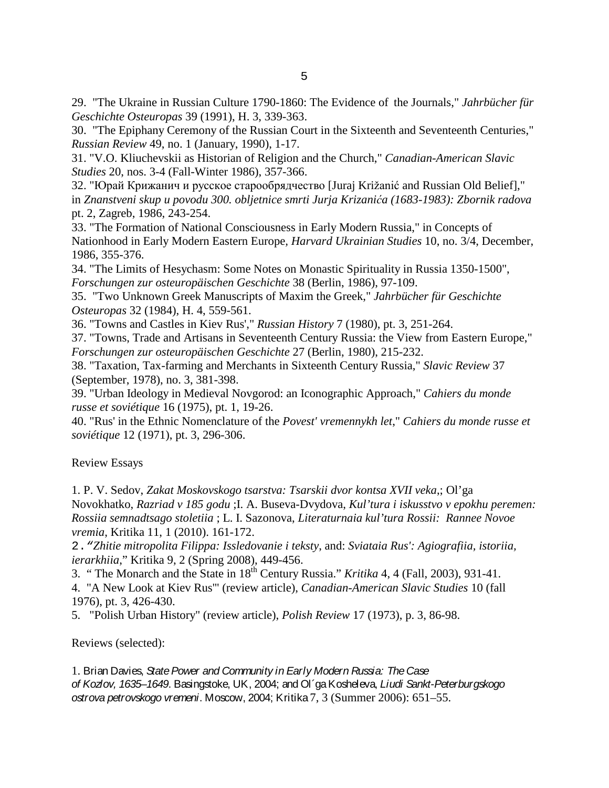29. "The Ukraine in Russian Culture 1790-1860: The Evidence of the Journals," *Jahrbücher für Geschichte Osteuropas* 39 (1991), H. 3, 339-363.

30. "The Epiphany Ceremony of the Russian Court in the Sixteenth and Seventeenth Centuries," *Russian Review* 49, no. 1 (January, 1990), 1-17.

31. "V.O. Kliuchevskii as Historian of Religion and the Church," *Canadian-American Slavic Studies* 20, nos. 3-4 (Fall-Winter 1986), 357-366.

32. "Юрай Крижанич и русское старообрядчество [Juraj Križanić and Russian Old Belief]," in *Znanstveni skup u povodu 300. obljetnice smrti Jurja Krizanića (1683-1983): Zbornik radova*  pt. 2, Zagreb, 1986, 243-254.

33. "The Formation of National Consciousness in Early Modern Russia," in Concepts of Nationhood in Early Modern Eastern Europe*, Harvard Ukrainian Studies* 10, no. 3/4, December, 1986, 355-376.

34. "The Limits of Hesychasm: Some Notes on Monastic Spirituality in Russia 1350-1500", *Forschungen zur osteuropäischen Geschichte* 38 (Berlin, 1986), 97-109.

35. "Two Unknown Greek Manuscripts of Maxim the Greek," *Jahrbücher für Geschichte Osteuropas* 32 (1984), H. 4, 559-561.

36. "Towns and Castles in Kiev Rus'," *Russian History* 7 (1980), pt. 3, 251-264.

37. "Towns, Trade and Artisans in Seventeenth Century Russia: the View from Eastern Europe," *Forschungen zur osteuropäischen Geschichte* 27 (Berlin, 1980), 215-232.

38. "Taxation, Tax-farming and Merchants in Sixteenth Century Russia," *Slavic Review* 37 (September, 1978), no. 3, 381-398.

39. "Urban Ideology in Medieval Novgorod: an Iconographic Approach," *Cahiers du monde russe et soviétique* 16 (1975), pt. 1, 19-26.

40. "Rus' in the Ethnic Nomenclature of the *Povest' vremennykh let*," *Cahiers du monde russe et soviétique* 12 (1971), pt. 3, 296-306.

Review Essays

1. P. V. Sedov, *Zakat Moskovskogo tsarstva: Tsarskii dvor kontsa XVII veka*,; Ol'ga Novokhatko, *Razriad v 185 godu* ;I. A. Buseva-Dvydova, *Kul'tura i iskusstvo v epokhu peremen: Rossiia semnadtsago stoletiia* ; L. I. Sazonova, *Literaturnaia kul'tura Rossii: Rannee Novoe vremia*, Kritika 11, 1 (2010). 161-172.

2.*"Zhitie mitropolita Filippa: Issledovanie i teksty*, and: *Sviataia Rus': Agiografiia, istoriia, ierarkhiia*," Kritika 9, 2 [\(Spring 2008\)](http://muse.jhu.edu/journals/kritika/toc/kri.9.2.html), 449-456.

3. " The Monarch and the State in 18th Century Russia." *Kritika* 4, 4 (Fall, 2003), 931-41.

4. "A New Look at Kiev Rus'" (review article), *Canadian-American Slavic Studies* 10 (fall 1976), pt. 3, 426-430.

5. "Polish Urban History" (review article), *Polish Review* 17 (1973), p. 3, 86-98.

Reviews (selected):

1. Brian Davies, *State Power and Community in Early Modern Russia: The Case of Kozlov, 1635–1649*. Basingstoke, UK, 2004; and Ol´ga Kosheleva, *Liudi Sankt-Peterburgskogo ostrova petrovskogo vremeni*. Moscow, 2004; Kritika 7, 3 (Summer 2006): 651–55.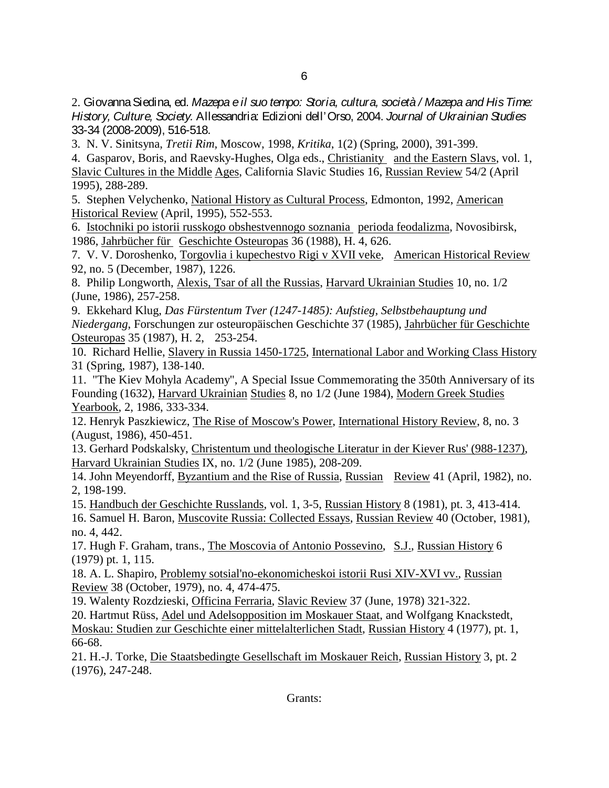2. Giovanna Siedina, ed. *Mazepa e il suo tempo: Storia, cultura, società / Mazepa and His Time: History, Culture, Society.* Allessandria: Edizioni dell'Orso, 2004. *Journal of Ukrainian Studies* 33-34 (2008-2009), 516-518.

3. N. V. Sinitsyna, *Tretii Rim,* Moscow, 1998, *Kritika*, 1(2) (Spring, 2000), 391-399.

4. Gasparov, Boris, and Raevsky-Hughes, Olga eds., Christianity and the Eastern Slavs, vol. 1, Slavic Cultures in the Middle Ages, California Slavic Studies 16, Russian Review 54/2 (April 1995), 288-289.

5. Stephen Velychenko, National History as Cultural Process, Edmonton, 1992, American Historical Review (April, 1995), 552-553.

6. Istochniki po istorii russkogo obshestvennogo soznania perioda feodalizma, Novosibirsk, 1986, Jahrbücher für Geschichte Osteuropas 36 (1988), H. 4, 626.

7. V. V. Doroshenko, Torgovlia i kupechestvo Rigi v XVII veke, American Historical Review 92, no. 5 (December, 1987), 1226.

8. Philip Longworth, Alexis, Tsar of all the Russias, Harvard Ukrainian Studies 10, no. 1/2 (June, 1986), 257-258.

9. Ekkehard Klug, *Das Fürstentum Tver (1247-1485): Aufstieg, Selbstbehauptung und Niedergang*, Forschungen zur osteuropäischen Geschichte 37 (1985), Jahrbücher für Geschichte Osteuropas 35 (1987), H. 2, 253-254.

10. Richard Hellie, Slavery in Russia 1450-1725, International Labor and Working Class History 31 (Spring, 1987), 138-140.

11. "The Kiev Mohyla Academy", A Special Issue Commemorating the 350th Anniversary of its Founding (1632), Harvard Ukrainian Studies 8, no 1/2 (June 1984), Modern Greek Studies Yearbook, 2, 1986, 333-334.

12. Henryk Paszkiewicz, The Rise of Moscow's Power, International History Review, 8, no. 3 (August, 1986), 450-451.

13. Gerhard Podskalsky, Christentum und theologische Literatur in der Kiever Rus' (988-1237), Harvard Ukrainian Studies IX, no. 1/2 (June 1985), 208-209.

14. John Meyendorff, Byzantium and the Rise of Russia, Russian Review 41 (April, 1982), no. 2, 198-199.

15. Handbuch der Geschichte Russlands, vol. 1, 3-5, Russian History 8 (1981), pt. 3, 413-414.

16. Samuel H. Baron, Muscovite Russia: Collected Essays, Russian Review 40 (October, 1981), no. 4, 442.

17. Hugh F. Graham, trans., The Moscovia of Antonio Possevino, S.J., Russian History 6 (1979) pt. 1, 115.

18. A. L. Shapiro, Problemy sotsial'no-ekonomicheskoi istorii Rusi XIV-XVI vv., Russian Review 38 (October, 1979), no. 4, 474-475.

19. Walenty Rozdzieski, Officina Ferraria, Slavic Review 37 (June, 1978) 321-322.

20. Hartmut Rüss, Adel und Adelsopposition im Moskauer Staat, and Wolfgang Knackstedt, Moskau: Studien zur Geschichte einer mittelalterlichen Stadt, Russian History 4 (1977), pt. 1,

66-68.

21. H.-J. Torke, Die Staatsbedingte Gesellschaft im Moskauer Reich, Russian History 3, pt. 2 (1976), 247-248.

Grants: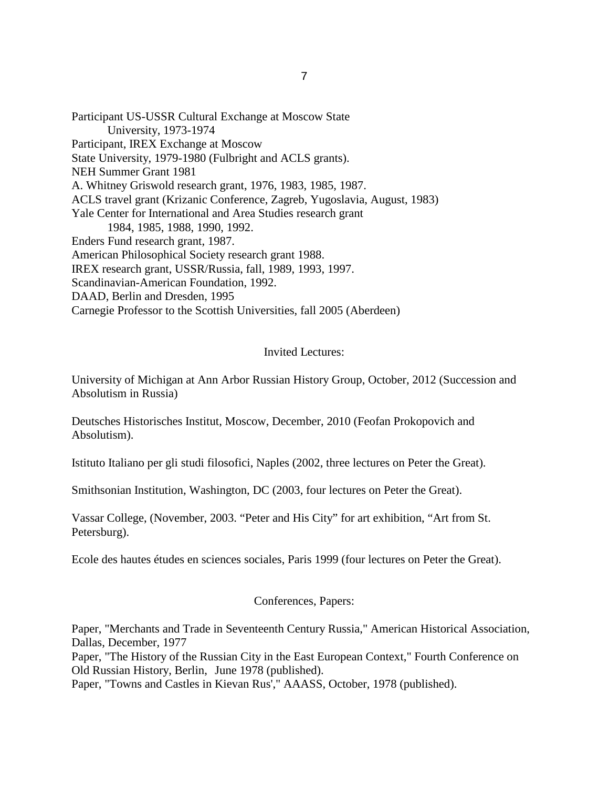Participant US-USSR Cultural Exchange at Moscow State University, 1973-1974 Participant, IREX Exchange at Moscow State University, 1979-1980 (Fulbright and ACLS grants). NEH Summer Grant 1981 A. Whitney Griswold research grant, 1976, 1983, 1985, 1987. ACLS travel grant (Krizanic Conference, Zagreb, Yugoslavia, August, 1983) Yale Center for International and Area Studies research grant 1984, 1985, 1988, 1990, 1992. Enders Fund research grant, 1987. American Philosophical Society research grant 1988. IREX research grant, USSR/Russia, fall, 1989, 1993, 1997. Scandinavian-American Foundation, 1992. DAAD, Berlin and Dresden, 1995 Carnegie Professor to the Scottish Universities, fall 2005 (Aberdeen)

### Invited Lectures:

University of Michigan at Ann Arbor Russian History Group, October, 2012 (Succession and Absolutism in Russia)

Deutsches Historisches Institut, Moscow, December, 2010 (Feofan Prokopovich and Absolutism).

Istituto Italiano per gli studi filosofici, Naples (2002, three lectures on Peter the Great).

Smithsonian Institution, Washington, DC (2003, four lectures on Peter the Great).

Vassar College, (November, 2003. "Peter and His City" for art exhibition, "Art from St. Petersburg).

Ecole des hautes études en sciences sociales, Paris 1999 (four lectures on Peter the Great).

### Conferences, Papers:

Paper, "Merchants and Trade in Seventeenth Century Russia," American Historical Association, Dallas, December, 1977

Paper, "The History of the Russian City in the East European Context," Fourth Conference on Old Russian History, Berlin, June 1978 (published).

Paper, "Towns and Castles in Kievan Rus'," AAASS, October, 1978 (published).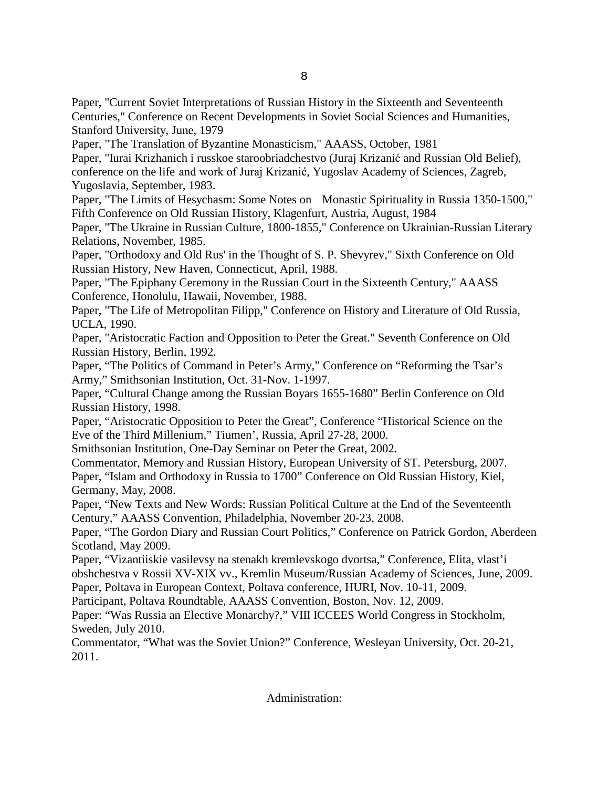Paper, "Current Soviet Interpretations of Russian History in the Sixteenth and Seventeenth Centuries," Conference on Recent Developments in Soviet Social Sciences and Humanities, Stanford University, June, 1979

Paper, "The Translation of Byzantine Monasticism," AAASS, October, 1981

Paper, "Iurai Krizhanich i russkoe staroobriadchestvo (Juraj Krizanić and Russian Old Belief), conference on the life and work of Juraj Krizanić, Yugoslav Academy of Sciences, Zagreb, Yugoslavia, September, 1983.

Paper, "The Limits of Hesychasm: Some Notes on Monastic Spirituality in Russia 1350-1500," Fifth Conference on Old Russian History, Klagenfurt, Austria, August, 1984

Paper, "The Ukraine in Russian Culture, 1800-1855," Conference on Ukrainian-Russian Literary Relations, November, 1985.

Paper, "Orthodoxy and Old Rus' in the Thought of S. P. Shevyrev," Sixth Conference on Old Russian History, New Haven, Connecticut, April, 1988.

Paper, "The Epiphany Ceremony in the Russian Court in the Sixteenth Century," AAASS Conference, Honolulu, Hawaii, November, 1988.

Paper, "The Life of Metropolitan Filipp," Conference on History and Literature of Old Russia, UCLA, 1990.

Paper, "Aristocratic Faction and Opposition to Peter the Great." Seventh Conference on Old Russian History, Berlin, 1992.

Paper, "The Politics of Command in Peter's Army," Conference on "Reforming the Tsar's Army," Smithsonian Institution, Oct. 31-Nov. 1-1997.

Paper, "Cultural Change among the Russian Boyars 1655-1680" Berlin Conference on Old Russian History, 1998.

Paper, "Aristocratic Opposition to Peter the Great", Conference "Historical Science on the Eve of the Third Millenium," Tiumen', Russia, April 27-28, 2000.

Smithsonian Institution, One-Day Seminar on Peter the Great, 2002.

Commentator, Memory and Russian History, European University of ST. Petersburg, 2007. Paper, "Islam and Orthodoxy in Russia to 1700" Conference on Old Russian History, Kiel, Germany, May, 2008.

Paper, "New Texts and New Words: Russian Political Culture at the End of the Seventeenth Century," AAASS Convention, Philadelphia, November 20-23, 2008.

Paper, "The Gordon Diary and Russian Court Politics," Conference on Patrick Gordon, Aberdeen Scotland, May 2009.

Paper, "Vizantiiskie vasilevsy na stenakh kremlevskogo dvortsa," Conference, Elita, vlast'i obshchestva v Rossii XV-XIX vv., Kremlin Museum/Russian Academy of Sciences, June, 2009. Paper, Poltava in European Context, Poltava conference, HURI, Nov. 10-11, 2009.

Participant, Poltava Roundtable, AAASS Convention, Boston, Nov. 12, 2009.

Paper: "Was Russia an Elective Monarchy?," VIII ICCEES World Congress in Stockholm, Sweden, July 2010.

Commentator, "What was the Soviet Union?" Conference, Wesleyan University, Oct. 20-21, 2011.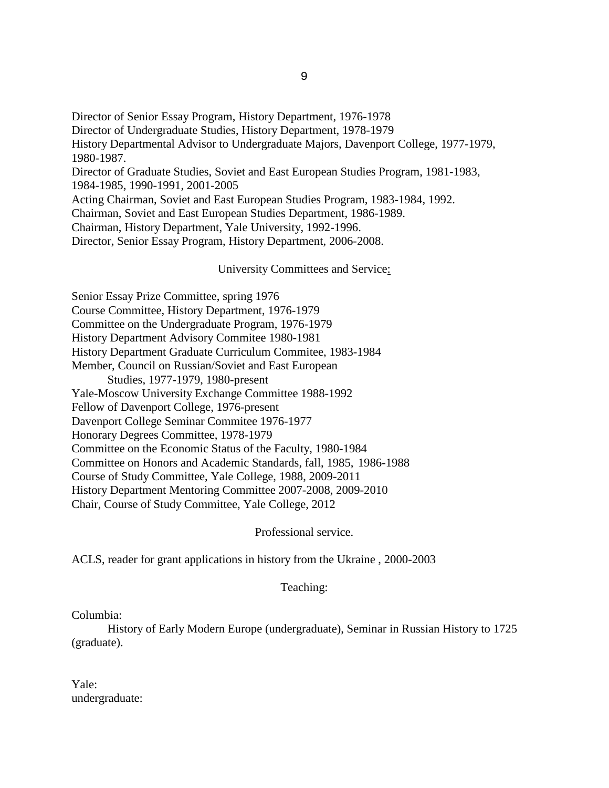Director of Senior Essay Program, History Department, 1976-1978 Director of Undergraduate Studies, History Department, 1978-1979 History Departmental Advisor to Undergraduate Majors, Davenport College, 1977-1979, 1980-1987. Director of Graduate Studies, Soviet and East European Studies Program, 1981-1983, 1984-1985, 1990-1991, 2001-2005 Acting Chairman, Soviet and East European Studies Program, 1983-1984, 1992. Chairman, Soviet and East European Studies Department, 1986-1989. Chairman, History Department, Yale University, 1992-1996. Director, Senior Essay Program, History Department, 2006-2008.

University Committees and Service:

Senior Essay Prize Committee, spring 1976 Course Committee, History Department, 1976-1979 Committee on the Undergraduate Program, 1976-1979 History Department Advisory Commitee 1980-1981 History Department Graduate Curriculum Commitee, 1983-1984 Member, Council on Russian/Soviet and East European Studies, 1977-1979, 1980-present Yale-Moscow University Exchange Committee 1988-1992 Fellow of Davenport College, 1976-present Davenport College Seminar Commitee 1976-1977 Honorary Degrees Committee, 1978-1979 Committee on the Economic Status of the Faculty, 1980-1984 Committee on Honors and Academic Standards, fall, 1985, 1986-1988 Course of Study Committee, Yale College, 1988, 2009-2011 History Department Mentoring Committee 2007-2008, 2009-2010 Chair, Course of Study Committee, Yale College, 2012

Professional service.

ACLS, reader for grant applications in history from the Ukraine , 2000-2003

Teaching:

Columbia:

History of Early Modern Europe (undergraduate), Seminar in Russian History to 1725 (graduate).

Yale: undergraduate: